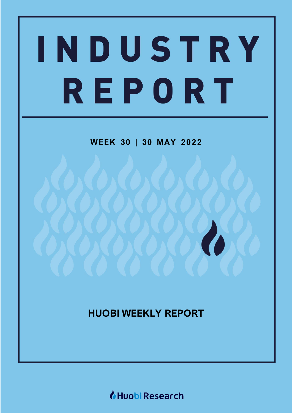# INDUSTRY REPORT

**WEEK 30 | 30 MAY 20 2 2**

**HUOBI WEEKLY REPORT**

Huobi Research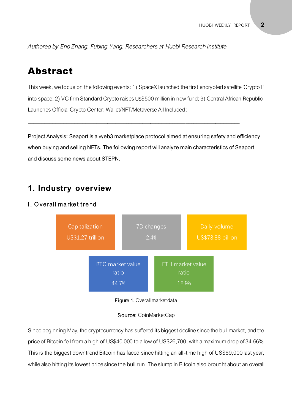*Authored by Eno Zhang, Fubing Yang, Researchers at Huobi Research Institute*

# Abstract

This week, we focus on the following events: 1) SpaceX launched the first encrypted satellite 'Crypto1' into space; 2) VC firm Standard Crypto raises US\$500 million in new fund; 3) Central African Republic Launches Official Crypto Center: Wallet/NFT/Metaverse All Included;

Project Analysis: Seaport is a Web3 marketplace protocol aimed at ensuring safety and efficiency when buying and selling NFTs. The following report will analyze main characteristics of Seaport and discuss some news about STEPN.

 $\_$  , and the set of the set of the set of the set of the set of the set of the set of the set of the set of the set of the set of the set of the set of the set of the set of the set of the set of the set of the set of th

# **1. Industry overview**

#### I. Overall market trend





#### Source: CoinMarketCap

Since beginning May, the cryptocurrency has suffered its biggest decline since the bull market, and the price of Bitcoin fell from a high of US\$40,000 to a low of US\$26,700, with a maximum drop of 34.66%. This is the biggest downtrend Bitcoin has faced since hitting an all-time high of US\$69,000 last year, while also hitting its lowest price since the bull run. The slump in Bitcoin also brought about an overall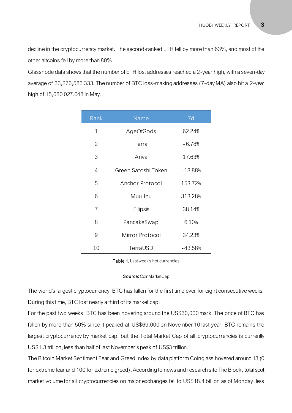decline in the cryptocurrency market. The second-ranked ETH fell by more than 63%, and most of the other altcoins fell by more than 80%.

Glassnode data shows that the number of ETH lost addresses reached a 2-year high, with a seven-day average of 33,276,583.333. The number of BTC loss-making addresses (7-day MA) also hit a 2-year high of 15,080,027.048 in May.

| Rank           | Name                | 7d        |
|----------------|---------------------|-----------|
| $\mathbf 1$    | AgeOfGods           | 62.24%    |
| $\overline{2}$ | Terra               | $-6.78%$  |
| 3              | Ariva               | 17.63%    |
| 4              | Green Satoshi Token | $-13.88%$ |
| 5              | Anchor Protocol     | 153.72%   |
| 6              | Muu Inu             | 313.28%   |
| 7              | Ellipsis            | 38.14%    |
| 8              | PancakeSwap         | 6.10%     |
| 9              | Mirror Protocol     | 34.23%    |
| 10             | TerraUSD            | $-43.58%$ |

#### st wee Table 1. Last week's hot currencies

# **Source:** CoinMarketCap

The world's largest cryptocurrency, BTC has fallen for the first time ever for eight consecutive weeks. During this time, BTC lost nearly a third of its market cap.

For the past two weeks, BTC has been hovering around the US\$30,000 mark. The price of BTC has fallen by more than 50% since it peaked at US\$69,000 on November 10 last year. BTC remains the largest cryptocurrency by market cap, but the Total Market Cap of all cryptocurrencies is currently US\$1.3 trillion, less than half of last November's peak of US\$3 trillion.

The Bitcoin Market Sentiment Fear and Greed Index by data platform Coinglass hovered around 13 (0 for extreme fear and 100 for extreme greed). According to news and research site The Block, total spot market volume for all cryptocurrencies on major exchanges fell to US\$18.4 billion as of Monday, less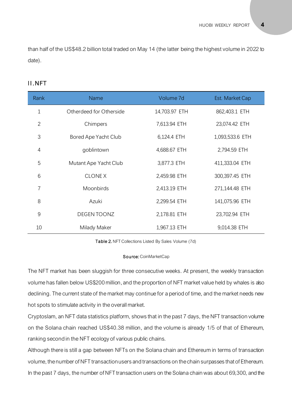than half of the US\$48.2 billion total traded on May 14 (the latter being the highest volume in 2022 to date).

#### II.NFT

| Rank           | <b>Name</b>             | Volume 7d     | Est. Market Cap |
|----------------|-------------------------|---------------|-----------------|
| $\mathbf 1$    | Otherdeed for Otherside | 14,703.97 ETH | 862,403.1 ETH   |
| $\mathbf{2}$   | Chimpers                | 7,613.94 ETH  | 23,074.42 ETH   |
| 3              | Bored Ape Yacht Club    | 6,124.4 ETH   | 1,093,533.6 ETH |
| $\overline{4}$ | goblintown              | 4,688.67 ETH  | 2,794.59 ETH    |
| 5              | Mutant Ape Yacht Club   | 3,877.3 ETH   | 411,333.04 ETH  |
| 6              | <b>CLONEX</b>           | 2,459.98 ETH  | 300,397.45 ETH  |
| 7              | Moonbirds               | 2,413.19 ETH  | 271,144.48 ETH  |
| 8              | Azuki                   | 2,299.54 ETH  | 141,075.96 ETH  |
| 9              | <b>DEGEN TOONZ</b>      | 2,178.81 ETH  | 23,702.94 ETH   |
| 10             | Milady Maker            | 1,967.13 ETH  | 9,014.38 ETH    |

Table 2. NFT Collections Listed By Sales Volume (7d)

#### Source: CoinMarketCap

The NFT market has been sluggish for three consecutive weeks. At present, the weekly transaction volume has fallen below US\$200 million, and the proportion of NFT market value held by whales is also declining. The current state of the market may continue for a period of time, and the market needs new hot spots to stimulate activity in the overall market.

Cryptoslam, an NFT data statistics platform, shows that in the past 7 days, the NFT transaction volume on the Solana chain reached US\$40.38 million, and the volume is already 1/5 of that of Ethereum, ranking second in the NFT ecology of various public chains.

Although there is still a gap between NFTs on the Solana chain and Ethereum in terms of transaction volume, the number of NFT transaction users and transactions on the chain surpasses that of Ethereum. In the past 7 days, the number of NFT transaction users on the Solana chain was about 69,300, and the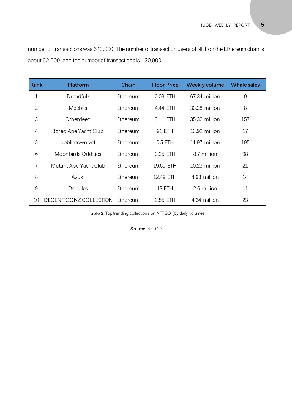number of transactions was 310,000. The number of transaction users of NFT on the Ethereum chain is about 62,600, and the number of transactions is 120,000.

| <b>Rank</b> | <b>Platform</b>           | Chain    | <b>Floor Price</b> | <b>Weekly volume</b> | <b>Whale sales</b> |
|-------------|---------------------------|----------|--------------------|----------------------|--------------------|
| 1           | Dreadfulz                 | Ethereum | 0.03 ETH           | 67.34 million        | $\overline{0}$     |
| 2           | <b>Meebits</b>            | Ethereum | 4.44 ETH           | 33.28 million        | 8                  |
| 3           | Otherdeed                 | Ethereum | 3.11 ETH           | 35.32 million        | 157                |
| 4           | Bored Ape Yacht Club      | Ethereum | 91 ETH             | 13.92 million        | 17                 |
| 5           | goblintown.wtf            | Ethereum | $0.5$ ETH          | 11.97 million        | 195                |
| 6           | <b>Moonbirds Oddities</b> | Ethereum | 3.25 ETH           | 8.7 million          | 98                 |
| 7           | Mutant Ape Yacht Club     | Ethereum | 19.69 ETH          | 10.23 million        | 21                 |
| 8           | Azuki                     | Ethereum | 12.49 ETH          | 4.93 million         | 14                 |
| 9           | <b>Doodles</b>            | Ethereum | 13 ETH             | 2.6 million          | 11                 |
| 10          | DEGEN TOONZ COLLECTION    | Ethereum | 2.85 ETH           | 4.34 million         | 23                 |

Table 3. Top trending collections on NFTGO (by daily volume)

Source: NFTGO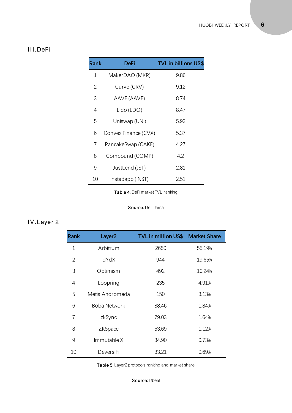### III.DeFi

| Rank | DeFi                 | <b>TVL in billions US\$</b> |
|------|----------------------|-----------------------------|
| 1    | MakerDAO (MKR)       | 9.86                        |
| 2    | Curve (CRV)          | 9.12                        |
| 3    | AAVE (AAVE)          | 8.74                        |
| 4    | Lido (LDO)           | 8.47                        |
| 5    | Uniswap (UNI)        | 5.92                        |
| 6    | Convex Finance (CVX) | 5.37                        |
| 7    | PancakeSwap (CAKE)   | 4.27                        |
| 8    | Compound (COMP)      | 4.2                         |
| 9    | JustLend (JST)       | 2.81                        |
| 10   | Instadapp (INST)     | 2.51                        |

Table 4. DeFi market TVL ranking

#### Source: DefiLlama

# IV.Layer 2

| <b>Rank</b> | Layer <sub>2</sub> | <b>TVL in million US\$ Market Share</b> |        |
|-------------|--------------------|-----------------------------------------|--------|
| 1           | Arbitrum           | 2650                                    | 55.19% |
| 2           | dYdX               | 944                                     | 19.65% |
| 3           | Optimism           | 492                                     | 10.24% |
| 4           | Loopring           | 235                                     | 4.91%  |
| 5           | Metis Andromeda    | 150                                     | 3.13%  |
| 6           | Boba Network       | 88.46                                   | 1.84%  |
| 7           | zkSync             | 79.03                                   | 1.64%  |
| 8           | ZKSpace            | 53.69                                   | 1.12%  |
| 9           | Immutable X        | 34.90                                   | 0.73%  |
| 10          | DeversiFi          | 33.21                                   | 0.69%  |

Table 5. Layer2 protocols ranking and market share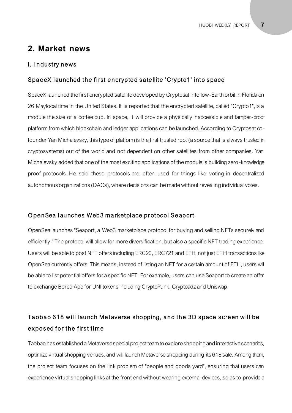## **2. Market news**

#### I. Industry news

#### SpaceX launched the first encrypted satellite 'Crypto1' into space

SpaceX launched the first encrypted satellite developed by Cryptosat into low-Earth orbit in Florida on 26 Maylocal time in the United States. It is reported that the encrypted satellite, called "Crypto1", is a module the size of a coffee cup. In space, it will provide a physically inaccessible and tamper-proof platform from which blockchain and ledger applications can be launched. According to Cryptosat cofounder Yan Michalevsky, this type of platform is the first trusted root (a source that is always trusted in cryptosystems) out of the world and not dependent on other satellites from other companies. Yan Michalevsky added that one of the most exciting applications of the module is building zero -knowledge proof protocols. He said these protocols are often used for things like voting in decentralized autonomous organizations (DAOs), where decisions can be made without revealing individual votes.

#### Open Sea launches Web3 marketplace protocol Seaport

OpenSea launches "Seaport, a Web3 marketplace protocol for buying and selling NFTs securely and efficiently." The protocol will allow for more diversification, but also a specific NFT trading experience. Users will be able to post NFT offers including ERC20, ERC721 and ETH, not just ETH transactions like OpenSea currently offers. This means, instead of listing an NFT for a certain amount of ETH, users will be able to list potential offers for a specific NFT. For example, users can use Seaport to create an offer to exchange Bored Ape for UNI tokens including CryptoPunk, Cryptoadz and Uniswap.

# Ta obao 618 will launch Metaverse shopping, and the 3D space screen will be exposed for the first time

Taobao has established a Metaverse special project team to explore shopping and interactive scenarios, optimize virtual shopping venues, and will launch Metaverse shopping during its 618 sale. Among them, the project team focuses on the link problem of "people and goods yard", ensuring that users can experience virtual shopping links at the front end without wearing external devices, so as to provide a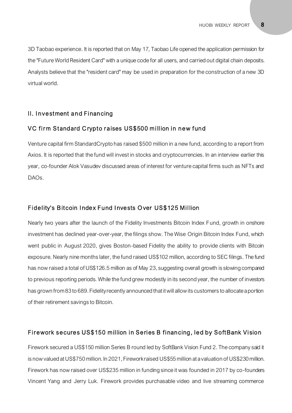3D Taobao experience. It is reported that on May 17, Taobao Life opened the application permission for the "Future World Resident Card" with a unique code for all users, and carried out digital chain deposits. Analysts believe that the "resident card" may be used in preparation for the construction of a new 3D virtual world.

#### II. Investment and Financing

#### VC firm Standard Crypto raises US\$500 million in new fund

Venture capital firm StandardCrypto has raised \$500 million in a new fund, according to a report from Axios. It is reported that the fund will invest in stocks and cryptocurrencies. In an interview earlier this year, co-founder Alok Vasudev discussed areas of interest for venture capital firms such as NFTs and DAOs.

#### Fidelity's Bitcoin Index Fund Invests Over US\$125 Million

Nearly two years after the launch of the Fidelity Investments Bitcoin Index Fund, growth in onshore investment has declined year-over-year, the filings show. The Wise Origin Bitcoin Index Fund, which went public in August 2020, gives Boston-based Fidelity the ability to provide clients with Bitcoin exposure. Nearly nine months later, the fund raised US\$102 million, according to SEC filings. The fund has now raised a total of US\$126.5 million as of May 23, suggesting overall growth is slowing compared to previous reporting periods. While the fund grew modestly in its second year, the number of investors has grown from 83 to 689. Fidelity recently announced that it will allow its customers to allocate a portion of their retirement savings to Bitcoin.

#### Firework secures US\$150 million in Series B financing, led by SoftBank Vision

Firework secured a US\$150 million Series B round led by SoftBank Vision Fund 2. The company said it is now valued at US\$750 million. In 2021, Firework raised US\$55 million at a valuation of US\$230 million. Firework has now raised over US\$235 million in funding since it was founded in 2017 by co-founders Vincent Yang and Jerry Luk. Firework provides purchasable video and live streaming commerce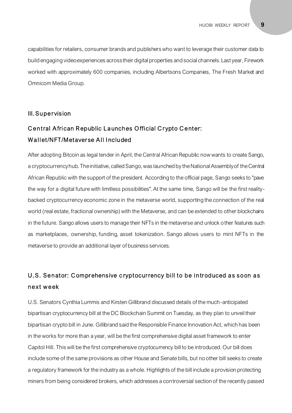capabilities for retailers, consumer brands and publishers who want to leverage their customer data to build engaging video experiences across their digital properties and social channels. Last year, Firework worked with approximately 600 companies, including Albertsons Companies, The Fresh Market and Omnicom Media Group.

#### III. Supervision

# Central African Republic Launches Official Crypto Center: Wallet/NFT/Metaverse All Included

After adopting Bitcoin as legal tender in April, the Central African Republic now wants to create Sango, a cryptocurrency hub. The initiative, called Sango, was launched by the National Assembly of the Central African Republic with the support of the president. According to the official page, Sango seeks to "pave the way for a digital future with limitless possibilities". At the same time, Sango will be the first realitybacked cryptocurrency economic zone in the metaverse world, supporting the connection of the real world (real estate, fractional ownership) with the Metaverse, and can be extended to other blockchains in the future. Sango allows users to manage their NFTs in the metaverse and unlock other features such as marketplaces, ownership, funding, asset tokenization. Sango allows users to mint NFTs in the metaverse to provide an additional layer of business services.

# U.S. Senator: Comprehensive cryptocurrency bill to be introduced as soon as ne xt w e ek

U.S. Senators Cynthia Lummis and Kirsten Gillibrand discussed details of the much-anticipated bipartisan cryptocurrency bill at the DC Blockchain Summit on Tuesday, as they plan to unveil their bipartisan crypto bill in June. Gillibrand said the Responsible Finance Innovation Act, which has been in the works for more than a year, will be the first comprehensive digital asset framework to enter Capitol Hill. This will be the first comprehensive cryptocurrency bill to be introduced. Our bill does include some of the same provisions as other House and Senate bills, but no other bill seeks to create a regulatory framework for the industry as a whole. Highlights of the bill include a provision protecting miners from being considered brokers, which addresses a controversial section of the recently passed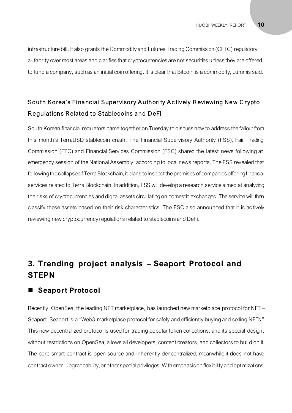infrastructure bill. It also grants the Commodity and Futures Trading Commission (CFTC) regulatory authority over most areas and clarifies that cryptocurrencies are not securities unless they are offered to fund a company, such as an initial coin offering. It is clear that Bitcoin is a commodity, Lummis said.

# South Korea's Financial Supervisory Authority Actively Reviewing New Crypto Regulations Related to Stablecoins and DeFi

South Korean financial regulators came together on Tuesday to discuss how to address the fallout from this month's TerraUSD stablecoin crash. The Financial Supervisory Authority (FSS), Fair Trading Commission (FTC) and Financial Services Commission (FSC) shared the latest news following an emergency session of the National Assembly, according to local news reports. The FSS revealed that following the collapse of Terra Blockchain, it plans to inspect the premises of companies offering financial services related to Terra Blockchain. In addition, FSS will develop a research service aimed at analyzing the risks of cryptocurrencies and digital assets circulating on domestic exchanges. The service will then classify these assets based on their risk characteristics. The FSC also announced that it is actively reviewing new cryptocurrency regulations related to stablecoins and DeFi.

# **3. Trending project analysis – Seaport Protocol and STEPN**

#### **Seaport Protocol**

Recently, OpenSea, the leading NFT marketplace, has launched new marketplace protocol for NFT – Seaport. Seaport is a "Web3 marketplace protocol for safely and efficiently buying and selling NFTs." This new decentralized protocol is used for trading popular token collections, and its special design, without restrictions on OpenSea, allows all developers, content creators, and collectors to build on it. The core smart contract is open source and inherently dencentralized, meanwhile it does not have contract owner, upgradeability, or other special privileges. With emphasison flexibility and optimizations,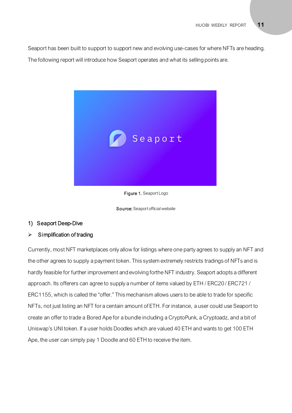Seaport has been built to support to support new and evolving use-cases for where NFTs are heading. The following report will introduce how Seaport operates and what its selling points are.



#### Figure 1. Seaport Logo

Source: Seaport official website

#### 1) Seaport Deep-Dive

#### $\triangleright$  Simplification of trading

Currently, most NFT marketplaces only allow for listings where one party agrees to supply an NFT and the other agrees to supply a payment token. This system extremely restricts tradings of NFTs and is hardly feasible for further improvement and evolving forthe NFT industry. Seaport adopts a different approach. Its offerers can agree to supply a number of items valued by ETH / ERC20 / ERC721 / ERC1155, which is called the "offer." This mechanism allows users to be able to trade for specific NFTs, not just listing an NFT for a centain amount of ETH. For instance, a user could use Seaport to create an offer to trade a Bored Ape for a bundle including a CryptoPunk, a Cryptoadz, and a bit of Uniswap's UNI token. If a user holds Doodles which are valued 40 ETH and wants to get 100 ETH Ape, the user can simply pay 1 Doodle and 60 ETH to receive the item.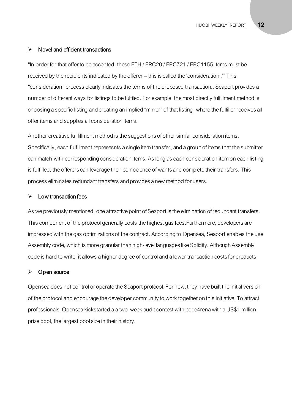#### $\triangleright$  Novel and efficient transactions

"In order for that offer to be accepted, these ETH / ERC20 / ERC721 / ERC1155 items must be received by the recipients indicated by the offerer – this is called the 'consideration .'" This "consideration" process clearly indicates the terms of the proposed transaction.. Seaport provides a number of different ways for listings to be fulfiled. For example, the most directly fulfillment method is choosing a specific listing and creating an implied "mirror" of that listing, where the fulfiller receives all offer items and supplies all consideration items.

Another creatitive fullfillment method is the suggestions of other similar consideration items. Specifically, each fulfillment represesnts a single item transfer, and a group of items that the submitter can match with corresponding consideration items. As long as each consideration item on each listing is fulfilled, the offerers can leverage their coincidence of wants and complete their transfers. This process eliminates redundant transfers and provides a new method for users.

#### $\triangleright$  Low transaction fees

As we previously mentioned, one attractive point of Seaport is the elimination of redundant transfers. This component of the protocol generally costs the highest gas fees.Furthermore, developers are impressed with the gas optimizations of the contract. According to Opensea, Seaport enables the use Assembly code, which is more granular than high-level languages like Solidity. Although Assembly code is hard to write, it allows a higher degree of control and a lower transaction costs for products.

#### ➢ Open source

Opensea does not control or operate the Seaport protocol. For now, they have built the initial version of the protocol and encourage the developer community to work together on this initiative. To attract professionals, Opensea kickstarted a a two-week audit contest with code4rena with a US\$1 million prize pool, the largest pool size in their history.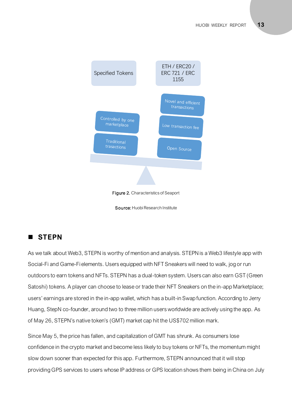

Source: Huobi Research Institute

## ◼ **STEPN**

As we talk about Web3, STEPN is worthy of mention and analysis. STEPN is a Web3 lifestyle app with Social-Fi and Game-Fi elements. Users equipped with NFT Sneakers will need to walk, jog or run outdoors to earn tokens and NFTs. STEPN has a dual-token system. Users can also earn GST (Green Satoshi) tokens. A player can choose to lease or trade their NFT Sneakers on the in-app Marketplace; users' earnings are stored in the in-app wallet, which has a built-in Swap function. According to Jerry Huang, StepN co-founder, around two to three million users worldwide are actively using the app. As of May 26, STEPN's native token's (GMT) market cap hit the US\$702 million mark.

Since May 5, the price has fallen, and capitalization of GMT has shrunk. As consumers lose confidence in the crypto market and become less likely to buy tokens or NFTs, the momentum might slow down sooner than expected for this app. Furthermore, STEPN announced that it will stop providing GPS services to users whose IP address or GPS location shows them being in China on July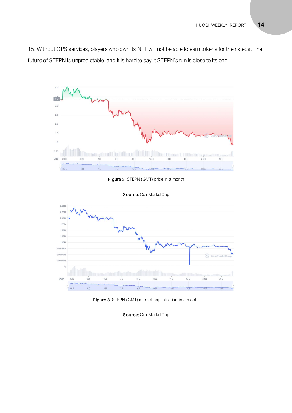15. Without GPS services, players who own its NFT will not be able to earn tokens for their steps. The future of STEPN is unpredictable, and it is hard to say it STEPN's run is close to its end.



Figure 3. STEPN (GMT) price in a month



Source: CoinMarketCap

Figure 3. STEPN (GMT) market capitalization in a month

Source: CoinMarketCap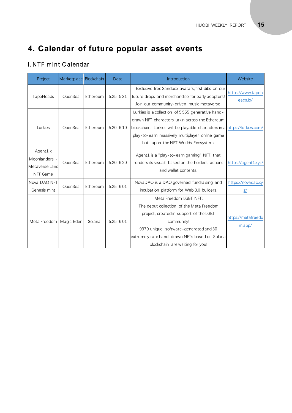# **4. Calendar of future popular asset events**

## I. NTF mint Calendar

| Project                                                         | Marketplace Blockchain |          | Date          | Introduction                                                                                                                                                                                                                                                                 | Website                             |
|-----------------------------------------------------------------|------------------------|----------|---------------|------------------------------------------------------------------------------------------------------------------------------------------------------------------------------------------------------------------------------------------------------------------------------|-------------------------------------|
| TapeHeads                                                       | OpenSea                | Ethereum | $5.25 - 5.31$ | Exclusive free Sandbox avatars, first dibs on our<br>future drops and merchandise for early adopters!<br>Join our community-driven music metaverse!                                                                                                                          | https://www.tapeh<br>eads.io/       |
| Lurkies                                                         | OpenSea                | Ethereum | $5.20 - 6.10$ | Lurkies is a collection of 5,555 generative hand-<br>drawn NFT characters lurkin across the Ethereum<br>blockchain. Lurkies will be playable characters in a https://lurkies.com/<br>play-to-earn, massively multiplayer online game<br>built upon the NFT Worlds Ecosystem. |                                     |
| Agent $1 \times$<br>Moonlanders -<br>Metaverse Land<br>NFT Game | OpenSea                | Ethereum | $5.20 - 6.20$ | Agent1 is a "play-to-earn gaming" NFT, that<br>renders its visuals based on the holders' actions<br>and wallet contents.                                                                                                                                                     | https://agent1.xyz/                 |
| Nova DAO NFT<br>Genesis mint                                    | OpenSea                | Ethereum | $5.25 - 6.01$ | NovaDAO is a DAO governed fundraising and<br>incubation platform for Web 3.0 builders.                                                                                                                                                                                       | https://novadao.xy<br>$\frac{z}{z}$ |
| Meta Freedom   Magic Eden                                       |                        | Solana   | $5.25 - 6.01$ | Meta Freedom LGBT NFT:<br>The debut collection of the Meta Freedom<br>project, created in support of the LGBT<br>community!<br>9970 unique, software-generated and 30<br>extremely rare hand-drawn NFTs based on Solana<br>blockchain are waiting for you!                   | https://metafreedo<br>m.app/        |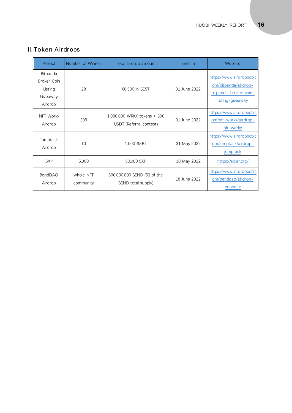| Project                                                   | Number of Winner       | Total airdrop amount                                   | Ends in      | Website                                                                                            |
|-----------------------------------------------------------|------------------------|--------------------------------------------------------|--------------|----------------------------------------------------------------------------------------------------|
| Bitpanda<br>Broker Coin<br>Listing<br>Giveaway<br>Airdrop | 28                     | €8,500 in BEST                                         | 01 June 2022 | https://www.airdropbob.c<br>om/bitpanda/airdrop-<br>bitpanda - broker - coin -<br>listing-giveaway |
| NFT Workx<br>Airdrop                                      | 209                    | 1,000,000 WRKX tokens + 500<br>USDT (Referral contest) | 01 June 2022 | https://www.airdropbob.c<br>om/nft-workx/airdrop-<br>nft-workx                                     |
| Jumptask<br>Airdrop                                       | 10                     | 1,000 JMPT                                             | 31 May 2022  | https://www.airdropbob.c<br>om/jumptask/airdrop-<br>jumptask                                       |
| <b>SXP</b>                                                | 5,000                  | 50,000 SXP                                             | 30 May 2022  | https://solar.org/                                                                                 |
| BendDAO<br>Airdrop                                        | whole NFT<br>community | 500.000.000 BEND (5% of the<br>BEND total supply)      | 18 June 2022 | https://www.airdropbob.c<br>om/benddao/airdrop-<br>benddao                                         |

# II. Token Airdrops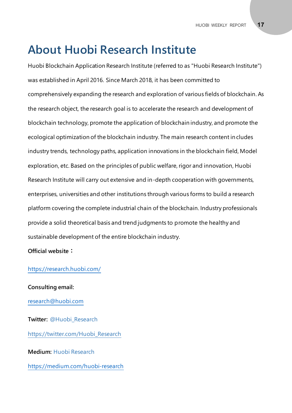# **About Huobi Research Institute**

Huobi Blockchain Application Research Institute (referred to as "Huobi Research Institute") was established in April 2016. Since March 2018, it has been committed to comprehensively expanding the research and exploration of various fields of blockchain. As the research object, the research goal is to accelerate the research and development of blockchain technology, promote the application of blockchain industry, and promote the ecological optimization of the blockchain industry. The main research content includes industry trends, technology paths, application innovations in the blockchain field, Model exploration, etc. Based on the principles of public welfare, rigor and innovation, Huobi Research Institute will carry out extensive and in-depth cooperation with governments, enterprises, universities and other institutions through various forms to build a research platform covering the complete industrial chain of the blockchain. Industry professionals provide a solid theoretical basis and trend judgments to promote the healthy and sustainable development of the entire blockchain industry.

**Official website:**

#### <https://research.huobi.com/>

**Consulting email:** [research@huobi.com](mailto:research@huobi.com) **Twitter:** @Huobi\_Research [https://twitter.com/Huobi\\_Research](https://twitter.com/Huobi_Research) **Medium:** Huobi Research

<https://medium.com/huobi-research>